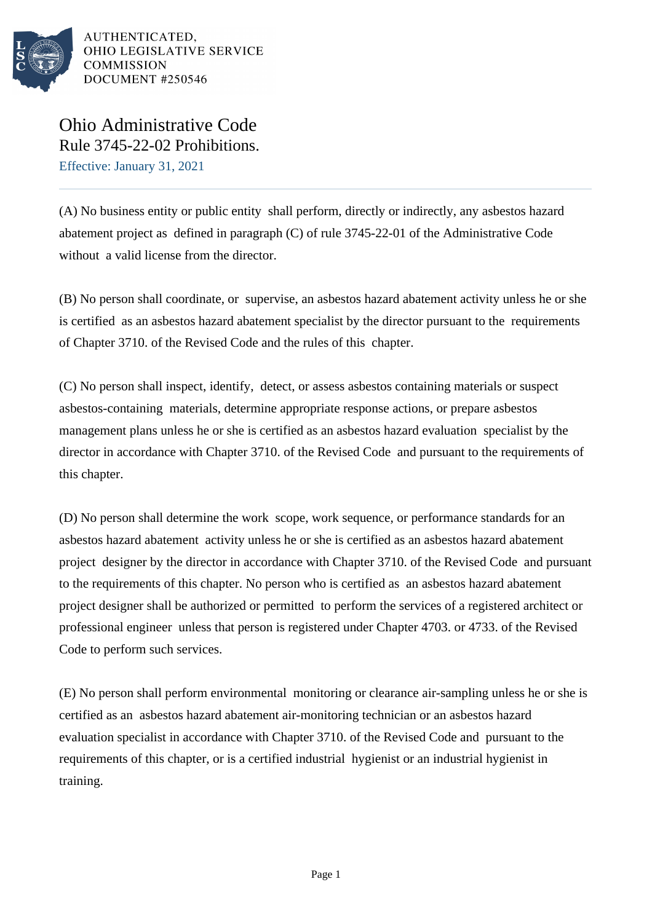

AUTHENTICATED. OHIO LEGISLATIVE SERVICE **COMMISSION** DOCUMENT #250546

Ohio Administrative Code Rule 3745-22-02 Prohibitions.

Effective: January 31, 2021

(A) No business entity or public entity shall perform, directly or indirectly, any asbestos hazard abatement project as defined in paragraph (C) of rule 3745-22-01 of the Administrative Code without a valid license from the director.

(B) No person shall coordinate, or supervise, an asbestos hazard abatement activity unless he or she is certified as an asbestos hazard abatement specialist by the director pursuant to the requirements of Chapter 3710. of the Revised Code and the rules of this chapter.

(C) No person shall inspect, identify, detect, or assess asbestos containing materials or suspect asbestos-containing materials, determine appropriate response actions, or prepare asbestos management plans unless he or she is certified as an asbestos hazard evaluation specialist by the director in accordance with Chapter 3710. of the Revised Code and pursuant to the requirements of this chapter.

(D) No person shall determine the work scope, work sequence, or performance standards for an asbestos hazard abatement activity unless he or she is certified as an asbestos hazard abatement project designer by the director in accordance with Chapter 3710. of the Revised Code and pursuant to the requirements of this chapter. No person who is certified as an asbestos hazard abatement project designer shall be authorized or permitted to perform the services of a registered architect or professional engineer unless that person is registered under Chapter 4703. or 4733. of the Revised Code to perform such services.

(E) No person shall perform environmental monitoring or clearance air-sampling unless he or she is certified as an asbestos hazard abatement air-monitoring technician or an asbestos hazard evaluation specialist in accordance with Chapter 3710. of the Revised Code and pursuant to the requirements of this chapter, or is a certified industrial hygienist or an industrial hygienist in training.